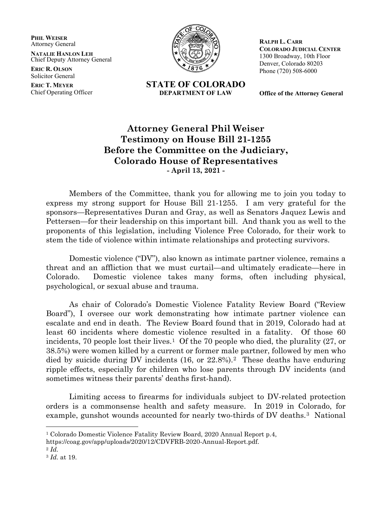**PHIL WEISER** Attorney General

**NATALIE HANLON LEH** Chief Deputy Attorney General

**ERIC R. OLSON** Solicitor General

**ERIC T. MEYER** Chief Operating Officer



**STATE OF COLORADO DEPARTMENT OF LAW**

**RALPH L. CARR COLORADO JUDICIAL CENTER** 1300 Broadway, 10th Floor Denver, Colorado 80203 Phone (720) 508-6000

**Office of the Attorney General**

## **Attorney General Phil Weiser Testimony on House Bill 21-1255 Before the Committee on the Judiciary, Colorado House of Representatives - April 13, 2021 -**

Members of the Committee, thank you for allowing me to join you today to express my strong support for House Bill 21-1255. I am very grateful for the sponsors—Representatives Duran and Gray, as well as Senators Jaquez Lewis and Pettersen—for their leadership on this important bill. And thank you as well to the proponents of this legislation, including Violence Free Colorado, for their work to stem the tide of violence within intimate relationships and protecting survivors.

Domestic violence ("DV"), also known as intimate partner violence, remains a threat and an affliction that we must curtail—and ultimately eradicate—here in Colorado. Domestic violence takes many forms, often including physical, psychological, or sexual abuse and trauma.

As chair of Colorado's Domestic Violence Fatality Review Board ("Review Board"), I oversee our work demonstrating how intimate partner violence can escalate and end in death. The Review Board found that in 2019, Colorado had at least 60 incidents where domestic violence resulted in a fatality. Of those 60 incidents, 70 people lost their lives.<sup>[1](#page-0-0)</sup> Of the 70 people who died, the plurality  $(27, or)$ 38.5%) were women killed by a current or former male partner, followed by men who died by suicide during DV incidents (16, or 22.8%).[2](#page-0-1) These deaths have enduring ripple effects, especially for children who lose parents through DV incidents (and sometimes witness their parents' deaths first-hand).

Limiting access to firearms for individuals subject to DV-related protection orders is a commonsense health and safety measure. In 2019 in Colorado, for example, gunshot wounds accounted for nearly two-thirds of DV deaths.[3](#page-0-2) National

https://coag.gov/app/uploads/2020/12/CDVFRB-2020-Annual-Report.pdf.

<span id="page-0-0"></span><sup>1</sup> Colorado Domestic Violence Fatality Review Board, 2020 Annual Report p.4,

<span id="page-0-2"></span><span id="page-0-1"></span>

<sup>2</sup> *Id.* 3 *Id.* at 19.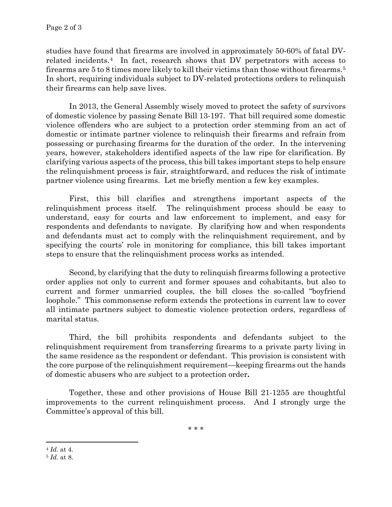studies have found that firearms are involved in approximately 50-60% of fatal DVrelated incidents.[4](#page-1-0) In fact, research shows that DV perpetrators with access to firearms are 5 to 8 times more likely to kill their victims than those without firearms.[5](#page-1-1) In short, requiring individuals subject to DV-related protections orders to relinquish their firearms can help save lives.

In 2013, the General Assembly wisely moved to protect the safety of survivors of domestic violence by passing Senate Bill 13-197. That bill required some domestic violence offenders who are subject to a protection order stemming from an act of domestic or intimate partner violence to relinquish their firearms and refrain from possessing or purchasing firearms for the duration of the order. In the intervening years, however, stakeholders identified aspects of the law ripe for clarification. By clarifying various aspects of the process, this bill takes important steps to help ensure the relinquishment process is fair, straightforward, and reduces the risk of intimate partner violence using firearms. Let me briefly mention a few key examples.

First, this bill clarifies and strengthens important aspects of the relinquishment process itself. The relinquishment process should be easy to understand, easy for courts and law enforcement to implement, and easy for respondents and defendants to navigate. By clarifying how and when respondents and defendants must act to comply with the relinquishment requirement, and by specifying the courts' role in monitoring for compliance, this bill takes important steps to ensure that the relinquishment process works as intended.

Second, by clarifying that the duty to relinquish firearms following a protective order applies not only to current and former spouses and cohabitants, but also to current and former unmarried couples, the bill closes the so-called "boyfriend loophole." This commonsense reform extends the protections in current law to cover all intimate partners subject to domestic violence protection orders, regardless of marital status.

Third, the bill prohibits respondents and defendants subject to the relinquishment requirement from transferring firearms to a private party living in the same residence as the respondent or defendant. This provision is consistent with the core purpose of the relinquishment requirement—keeping firearms out the hands of domestic abusers who are subject to a protection order**.**

Together, these and other provisions of House Bill 21-1255 are thoughtful improvements to the current relinquishment process. And I strongly urge the Committee's approval of this bill.

\* \* \*

<span id="page-1-0"></span><sup>4</sup> *Id.* at 4.

<span id="page-1-1"></span><sup>5</sup> *Id.* at 8.